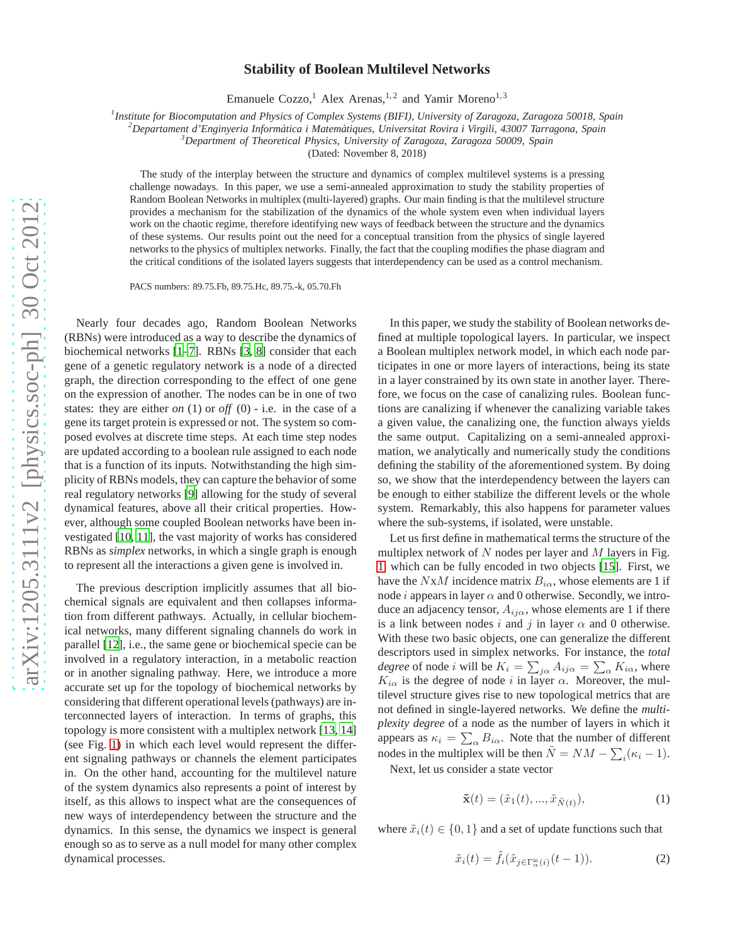## **Stability of Boolean Multilevel Networks**

Emanuele Cozzo,<sup>1</sup> Alex Arenas,<sup>1,2</sup> and Yamir Moreno<sup>1,3</sup>

*1 Institute for Biocomputation and Physics of Complex Systems (BIFI), University of Zaragoza, Zaragoza 50018, Spain*

*<sup>2</sup>Departament d'Enginyeria Inform`atica i Matem`atiques, Universitat Rovira i Virgili, 43007 Tarragona, Spain*

*<sup>3</sup>Department of Theoretical Physics, University of Zaragoza, Zaragoza 50009, Spain*

(Dated: November 8, 2018)

The study of the interplay between the structure and dynamics of complex multilevel systems is a pressing challenge nowadays. In this paper, we use a semi-annealed approximation to study the stability properties of Random Boolean Networks in multiplex (multi-layered) graphs. Our main finding is that the multilevel structure provides a mechanism for the stabilization of the dynamics of the whole system even when individual layers work on the chaotic regime, therefore identifying new ways of feedback between the structure and the dynamics of these systems. Our results point out the need for a conceptual transition from the physics of single layered networks to the physics of multiplex networks. Finally, the fact that the coupling modifies the phase diagram and the critical conditions of the isolated layers suggests that interdependency can be used as a control mechanism.

PACS numbers: 89.75.Fb, 89.75.Hc, 89.75.-k, 05.70.Fh

Nearly four decades ago, Random Boolean Networks (RBNs) were introduced as a way to describe the dynamics of biochemical networks [\[1](#page-3-0)[–7](#page-3-1)]. RBNs [\[3,](#page-3-2) [8\]](#page-3-3) consider that each gene of a genetic regulatory network is a node of a directed graph, the direction corresponding to the effect of one gene on the expression of another. The nodes can be in one of two states: they are either *on* (1) or *off* (0) - i.e. in the case of a gene its target protein is expressed or not. The system so composed evolves at discrete time steps. At each time step nodes are updated according to a boolean rule assigned to each node that is a function of its inputs. Notwithstanding the high simplicity of RBNs models, they can capture the behavior of some real regulatory networks [\[9\]](#page-3-4) allowing for the study of several dynamical features, above all their critical properties. However, although some coupled Boolean networks have been investigated [\[10](#page-3-5), [11\]](#page-3-6), the vast majority of works has considered RBNs as *simplex* networks, in which a single graph is enough to represent all the interactions a given gene is involved in.

The previous description implicitly assumes that all biochemical signals are equivalent and then collapses information from different pathways. Actually, in cellular biochemical networks, many different signaling channels do work in parallel [\[12\]](#page-3-7), i.e., the same gene or biochemical specie can be involved in a regulatory interaction, in a metabolic reaction or in another signaling pathway. Here, we introduce a more accurate set up for the topology of biochemical networks by considering that different operational levels (pathways) are interconnected layers of interaction. In terms of graphs, this topology is more consistent with a multiplex network [\[13](#page-3-8), [14\]](#page-3-9) (see Fig. [1\)](#page-1-0) in which each level would represent the different signaling pathways or channels the element participates in. On the other hand, accounting for the multilevel nature of the system dynamics also represents a point of interest by itself, as this allows to inspect what are the consequences of new ways of interdependency between the structure and the dynamics. In this sense, the dynamics we inspect is general enough so as to serve as a null model for many other complex dynamical processes.

In this paper, we study the stability of Boolean networks defined at multiple topological layers. In particular, we inspect a Boolean multiplex network model, in which each node participates in one or more layers of interactions, being its state in a layer constrained by its own state in another layer. Therefore, we focus on the case of canalizing rules. Boolean functions are canalizing if whenever the canalizing variable takes a given value, the canalizing one, the function always yields the same output. Capitalizing on a semi-annealed approximation, we analytically and numerically study the conditions defining the stability of the aforementioned system. By doing so, we show that the interdependency between the layers can be enough to either stabilize the different levels or the whole system. Remarkably, this also happens for parameter values where the sub-systems, if isolated, were unstable.

Let us first define in mathematical terms the structure of the multiplex network of  $N$  nodes per layer and  $M$  layers in Fig. [1,](#page-1-0) which can be fully encoded in two objects [\[15\]](#page-3-10). First, we have the NxM incidence matrix  $B_{i\alpha}$ , whose elements are 1 if node *i* appears in layer  $\alpha$  and 0 otherwise. Secondly, we introduce an adjacency tensor,  $A_{ij\alpha}$ , whose elements are 1 if there is a link between nodes i and j in layer  $\alpha$  and 0 otherwise. With these two basic objects, one can generalize the different descriptors used in simplex networks. For instance, the *total degree* of node *i* will be  $K_i = \sum_{j\alpha} A_{ij\alpha} = \sum_{\alpha} K_{i\alpha}$ , where  $K_{i\alpha}$  is the degree of node i in layer  $\alpha$ . Moreover, the multilevel structure gives rise to new topological metrics that are not defined in single-layered networks. We define the *multiplexity degree* of a node as the number of layers in which it appears as  $\kappa_i = \sum_{\alpha} B_{i\alpha}$ . Note that the number of different nodes in the multiplex will be then  $\tilde{N} = NM - \sum_i (\kappa_i - 1)$ .

Next, let us consider a state vector

<span id="page-0-0"></span>
$$
\tilde{\mathbf{x}}(t) = (\tilde{x}_1(t), \dots, \tilde{x}_{\tilde{N}(t)}),\tag{1}
$$

where  $\tilde{x}_i(t) \in \{0, 1\}$  and a set of update functions such that

<span id="page-0-1"></span>
$$
\tilde{x}_i(t) = \tilde{f}_i(\tilde{x}_{j \in \Gamma_{\alpha}^{\text{in}}(i)}(t-1)).\tag{2}
$$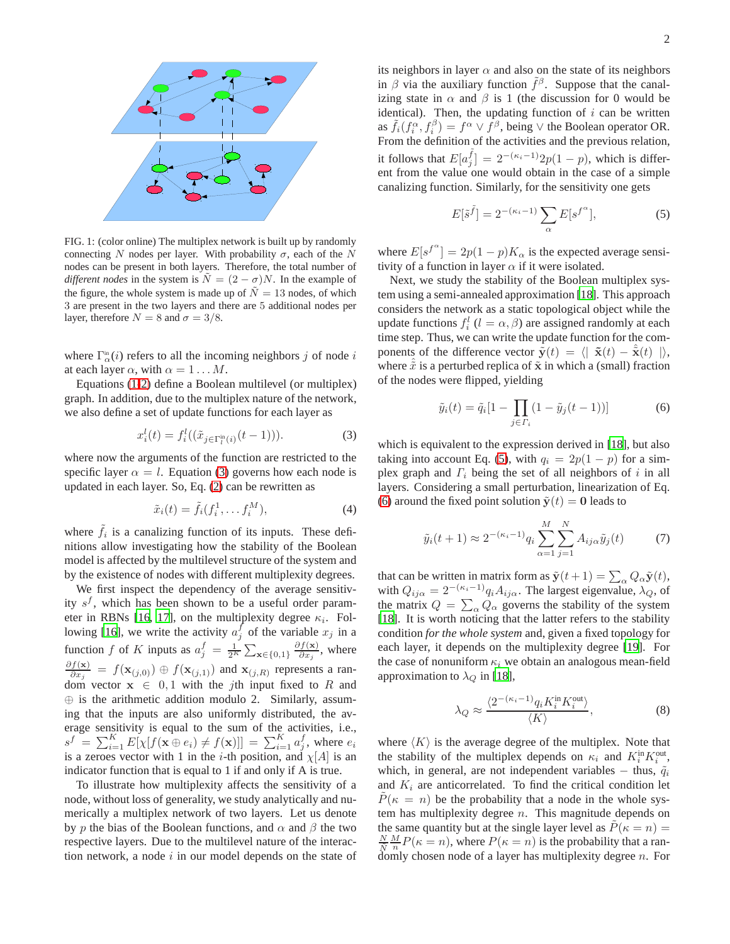

<span id="page-1-0"></span>FIG. 1: (color online) The multiplex network is built up by randomly connecting N nodes per layer. With probability  $\sigma$ , each of the N nodes can be present in both layers. Therefore, the total number of *different nodes* in the system is  $N = (2 - \sigma)N$ . In the example of the figure, the whole system is made up of  $\tilde{N} = 13$  nodes, of which 3 are present in the two layers and there are 5 additional nodes per layer, therefore  $N = 8$  and  $\sigma = 3/8$ .

where  $\Gamma_{\alpha}^{\text{in}}(i)$  refers to all the incoming neighbors j of node i at each layer  $\alpha$ , with  $\alpha = 1 \dots M$ .

Equations [\(1](#page-0-0)[-2\)](#page-0-1) define a Boolean multilevel (or multiplex) graph. In addition, due to the multiplex nature of the network, we also define a set of update functions for each layer as

<span id="page-1-1"></span>
$$
x_i^l(t) = f_i^l((\tilde{x}_{j \in \Gamma_l^{\text{in}}(i)}(t-1))).
$$
\n(3)

where now the arguments of the function are restricted to the specific layer  $\alpha = l$ . Equation [\(3\)](#page-1-1) governs how each node is updated in each layer. So, Eq. [\(2\)](#page-0-1) can be rewritten as

$$
\tilde{x}_i(t) = \tilde{f}_i(f_i^1, \dots f_i^M),\tag{4}
$$

where  $\tilde{f}_i$  is a canalizing function of its inputs. These definitions allow investigating how the stability of the Boolean model is affected by the multilevel structure of the system and by the existence of nodes with different multiplexity degrees.

We first inspect the dependency of the average sensitivity  $s^f$ , which has been shown to be a useful order param-eter in RBNs [\[16,](#page-3-11) [17\]](#page-3-12), on the multiplexity degree  $\kappa_i$ . Fol-lowing [\[16](#page-3-11)], we write the activity  $a_j^f$  of the variable  $x_j$  in a function f of K inputs as  $a_j^f = \frac{1}{2^K} \sum_{\mathbf{x} \in \{0,1\}} \frac{\partial f(\mathbf{x})}{\partial x_j}$  $rac{f(\mathbf{x})}{\partial x_j}$ , where  $\partial f(\mathbf{x})$  $\frac{f(\mathbf{x})}{\partial x_j} = f(\mathbf{x}_{(j,0)}) \oplus f(\mathbf{x}_{(j,1)})$  and  $\mathbf{x}_{(j,R)}$  represents a random vector  $x \in 0, 1$  with the *j*th input fixed to R and ⊕ is the arithmetic addition modulo 2. Similarly, assuming that the inputs are also uniformly distributed, the average sensitivity is equal to the sum of the activities, i.e.,  $s^f = \sum_{i=1}^K E[\chi[f(\mathbf{x} \oplus e_i) \neq f(\mathbf{x})]] = \sum_{i=1}^K a_j^f$ , where  $e_i$ is a zeroes vector with 1 in the *i*-th position, and  $\chi[A]$  is an indicator function that is equal to 1 if and only if A is true.

To illustrate how multiplexity affects the sensitivity of a node, without loss of generality, we study analytically and numerically a multiplex network of two layers. Let us denote by p the bias of the Boolean functions, and  $\alpha$  and  $\beta$  the two respective layers. Due to the multilevel nature of the interaction network, a node  $i$  in our model depends on the state of

<span id="page-1-2"></span>
$$
E[\tilde{s}^{\tilde{f}}] = 2^{-(\kappa_i - 1)} \sum_{\alpha} E[s^{f^{\alpha}}], \tag{5}
$$

where  $E[s^{f^{\alpha}}] = 2p(1-p)K_{\alpha}$  is the expected average sensitivity of a function in layer  $\alpha$  if it were isolated.

canalizing function. Similarly, for the sensitivity one gets

Next, we study the stability of the Boolean multiplex system using a semi-annealed approximation [\[18](#page-3-13)]. This approach considers the network as a static topological object while the update functions  $f_i^l$  ( $l = \alpha, \beta$ ) are assigned randomly at each time step. Thus, we can write the update function for the components of the difference vector  $\tilde{\mathbf{y}}(t) = \langle |\tilde{\mathbf{x}}(t) - \tilde{\mathbf{x}}(t)| \rangle$ , where  $\hat{x}$  is a perturbed replica of  $\tilde{x}$  in which a (small) fraction of the nodes were flipped, yielding

<span id="page-1-3"></span>
$$
\tilde{y}_i(t) = \tilde{q}_i[1 - \prod_{j \in \Gamma_i} (1 - \tilde{y}_j(t-1))]
$$
\n(6)

which is equivalent to the expression derived in [\[18\]](#page-3-13), but also taking into account Eq. [\(5\)](#page-1-2), with  $q_i = 2p(1 - p)$  for a simplex graph and  $\Gamma_i$  being the set of all neighbors of i in all layers. Considering a small perturbation, linearization of Eq. [\(6\)](#page-1-3) around the fixed point solution  $\tilde{y}(t) = 0$  leads to

$$
\tilde{y}_i(t+1) \approx 2^{-(\kappa_i - 1)} q_i \sum_{\alpha=1}^M \sum_{j=1}^N A_{ij\alpha} \tilde{y}_j(t)
$$
\n(7)

that can be written in matrix form as  $\tilde{\mathbf{y}}(t+1) = \sum_{\alpha} Q_{\alpha} \tilde{\mathbf{y}}(t)$ , with  $Q_{ij\alpha} = 2^{-(\kappa_i - 1)} q_i A_{ij\alpha}$ . The largest eigenvalue,  $\lambda_Q$ , of the matrix  $Q = \sum_{\alpha} Q_{\alpha}$  governs the stability of the system [\[18](#page-3-13)]. It is worth noticing that the latter refers to the stability condition *for the whole system* and, given a fixed topology for each layer, it depends on the multiplexity degree [\[19\]](#page-3-14). For the case of nonuniform  $\kappa_i$  we obtain an analogous mean-field approximation to  $\lambda_Q$  in [\[18\]](#page-3-13),

<span id="page-1-4"></span>
$$
\lambda_Q \approx \frac{\langle 2^{-(\kappa_i - 1)} q_i K_i^{\text{in}} K_i^{\text{out}} \rangle}{\langle K \rangle},\tag{8}
$$

where  $\langle K \rangle$  is the average degree of the multiplex. Note that the stability of the multiplex depends on  $\kappa_i$  and  $K_i^{\text{in}} K_i^{\text{out}}$ , which, in general, are not independent variables – thus,  $\tilde{q}_i$ and  $K_i$  are anticorrelated. To find the critical condition let  $P(\kappa = n)$  be the probability that a node in the whole system has multiplexity degree  $n$ . This magnitude depends on the same quantity but at the single layer level as  $\ddot{P}(\kappa = n) =$  $\frac{N}{N} \frac{M}{n} P(\kappa = n)$ , where  $P(\kappa = n)$  is the probability that a randomly chosen node of a layer has multiplexity degree  $n$ . For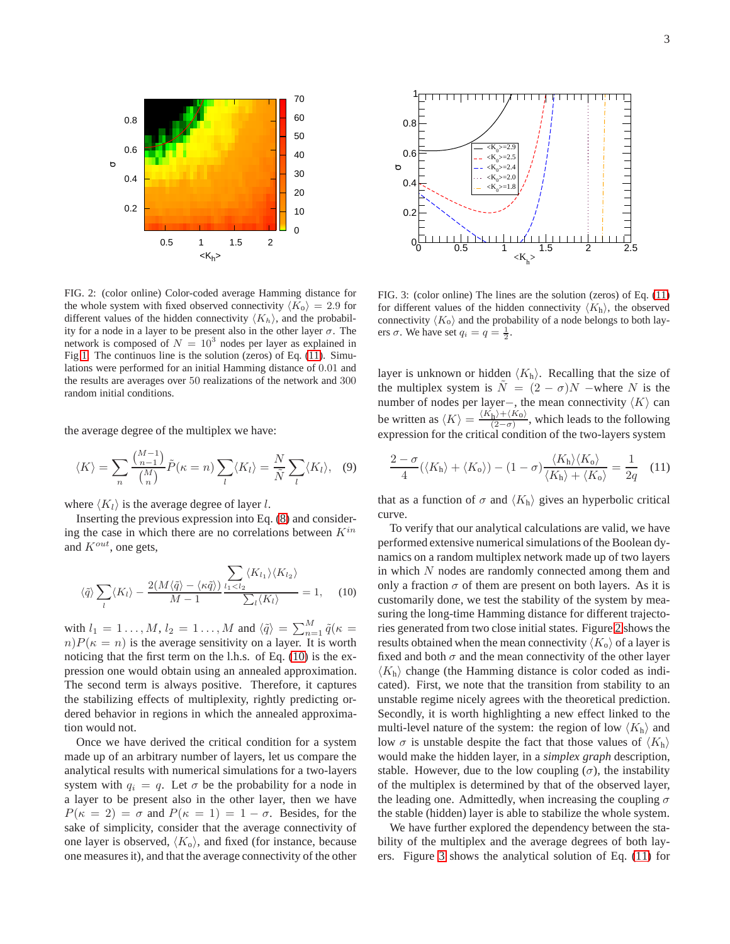

<span id="page-2-2"></span>FIG. 2: (color online) Color-coded average Hamming distance for the whole system with fixed observed connectivity  $\langle K_0 \rangle = 2.9$  for different values of the hidden connectivity  $\langle K_h \rangle$ , and the probability for a node in a layer to be present also in the other layer  $\sigma$ . The network is composed of  $N = 10<sup>3</sup>$  nodes per layer as explained in Fig [1.](#page-1-0) The continuos line is the solution (zeros) of Eq. [\(11\)](#page-2-0). Simulations were performed for an initial Hamming distance of 0.01 and the results are averages over 50 realizations of the network and 300 random initial conditions.

the average degree of the multiplex we have:

$$
\langle K \rangle = \sum_{n} \frac{\binom{M-1}{n-1}}{\binom{M}{n}} \tilde{P}(\kappa = n) \sum_{l} \langle K_{l} \rangle = \frac{N}{\tilde{N}} \sum_{l} \langle K_{l} \rangle, \quad (9)
$$

where  $\langle K_l \rangle$  is the average degree of layer l.

Inserting the previous expression into Eq. [\(8\)](#page-1-4) and considering the case in which there are no correlations between  $K^{in}$ and  $K^{out}$ , one gets,

<span id="page-2-1"></span>
$$
\langle \tilde{q} \rangle \sum_{l} \langle K_{l} \rangle - \frac{2(M \langle \tilde{q} \rangle - \langle \kappa \tilde{q} \rangle)}{M-1} \frac{\sum_{l_1 < l_2} \langle K_{l_1} \rangle \langle K_{l_2} \rangle}{\sum_{l} \langle K_{l} \rangle} = 1, \quad (10)
$$

with  $l_1 = 1 \ldots, M$ ,  $l_2 = 1 \ldots, M$  and  $\langle \tilde{q} \rangle = \sum_{n=1}^{M} \tilde{q}(\kappa =$  $n)P(\kappa = n)$  is the average sensitivity on a layer. It is worth noticing that the first term on the l.h.s. of Eq. [\(10\)](#page-2-1) is the expression one would obtain using an annealed approximation. The second term is always positive. Therefore, it captures the stabilizing effects of multiplexity, rightly predicting ordered behavior in regions in which the annealed approximation would not.

Once we have derived the critical condition for a system made up of an arbitrary number of layers, let us compare the analytical results with numerical simulations for a two-layers system with  $q_i = q$ . Let  $\sigma$  be the probability for a node in a layer to be present also in the other layer, then we have  $P(\kappa = 2) = \sigma$  and  $P(\kappa = 1) = 1 - \sigma$ . Besides, for the sake of simplicity, consider that the average connectivity of one layer is observed,  $\langle K_{o} \rangle$ , and fixed (for instance, because one measures it), and that the average connectivity of the other



<span id="page-2-3"></span>FIG. 3: (color online) The lines are the solution (zeros) of Eq. [\(11\)](#page-2-0) for different values of the hidden connectivity  $\langle K_{\rm h} \rangle$ , the observed connectivity  $\langle K_0 \rangle$  and the probability of a node belongs to both layers  $\sigma$ . We have set  $q_i = q = \frac{1}{2}$ .

layer is unknown or hidden  $\langle K_h \rangle$ . Recalling that the size of the multiplex system is  $\tilde{N} = (2 - \sigma)N$  –where N is the number of nodes per layer-, the mean connectivity  $\langle K \rangle$  can be written as  $\langle K \rangle = \frac{\langle K_{\rm h} \rangle + \langle K_0 \rangle}{\langle 2 - \sigma \rangle}$  $\frac{h^{j+R_0j}}{(2-\sigma)}$ , which leads to the following expression for the critical condition of the two-layers system

<span id="page-2-0"></span>
$$
\frac{2-\sigma}{4}(\langle K_{\rm h}\rangle + \langle K_{\rm o}\rangle) - (1-\sigma)\frac{\langle K_{\rm h}\rangle\langle K_{\rm o}\rangle}{\langle K_{\rm h}\rangle + \langle K_{\rm o}\rangle} = \frac{1}{2q} \quad (11)
$$

that as a function of  $\sigma$  and  $\langle K_h \rangle$  gives an hyperbolic critical curve.

To verify that our analytical calculations are valid, we have performed extensive numerical simulations of the Boolean dynamics on a random multiplex network made up of two layers in which N nodes are randomly connected among them and only a fraction  $\sigma$  of them are present on both layers. As it is customarily done, we test the stability of the system by measuring the long-time Hamming distance for different trajectories generated from two close initial states. Figure [2](#page-2-2) shows the results obtained when the mean connectivity  $\langle K_0 \rangle$  of a layer is fixed and both  $\sigma$  and the mean connectivity of the other layer  $\langle K_{\rm h} \rangle$  change (the Hamming distance is color coded as indicated). First, we note that the transition from stability to an unstable regime nicely agrees with the theoretical prediction. Secondly, it is worth highlighting a new effect linked to the multi-level nature of the system: the region of low  $\langle K_{\rm h} \rangle$  and low  $\sigma$  is unstable despite the fact that those values of  $\langle K_h \rangle$ would make the hidden layer, in a *simplex graph* description, stable. However, due to the low coupling  $(\sigma)$ , the instability of the multiplex is determined by that of the observed layer, the leading one. Admittedly, when increasing the coupling  $\sigma$ the stable (hidden) layer is able to stabilize the whole system.

We have further explored the dependency between the stability of the multiplex and the average degrees of both layers. Figure [3](#page-2-3) shows the analytical solution of Eq. [\(11\)](#page-2-0) for